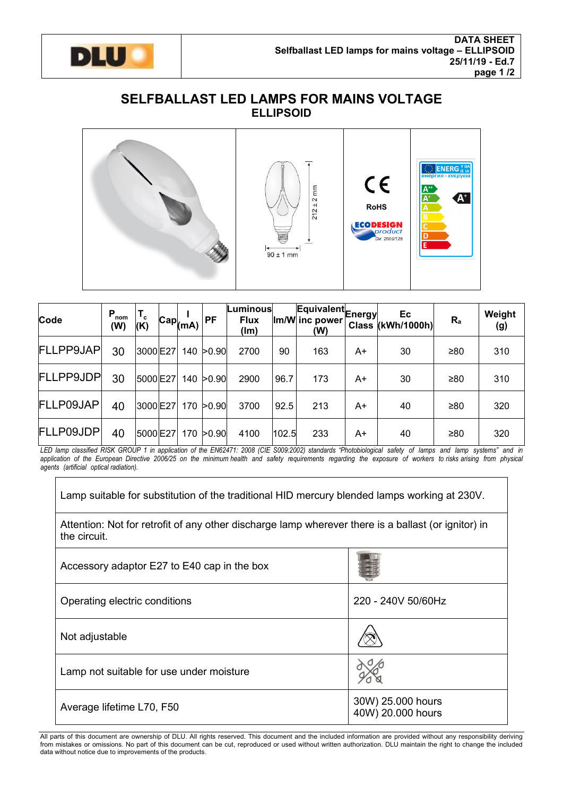

r

## **SELFBALLAST LED LAMPS FOR MAINS VOLTAGE ELLIPSOID**



| Code             | $P_{nom}$<br>(W) | $T_c$<br>(K) | Cap <sub>(mA)</sub> | PF         | Luminous<br><b>Flux</b><br>(lm) |       | Equivalent Energy<br>Im/W inc power<br>(W) |    | Ec<br>Class (kWh/1000h) | $R_{a}$   | Weight<br>(g) |
|------------------|------------------|--------------|---------------------|------------|---------------------------------|-------|--------------------------------------------|----|-------------------------|-----------|---------------|
| <b>FLLPP9JAP</b> | 30               | 3000 E27     |                     | 140 > 0.90 | 2700                            | 90    | 163                                        | A+ | 30                      | $\geq 80$ | 310           |
| <b>FLLPP9JDP</b> | 30               | 5000 E27     |                     | 140 > 0.90 | 2900                            | 96.7  | 173                                        | A+ | 30                      | ≥80       | 310           |
| FLLP09JAP        | 40               | 3000E27      | 170                 | >0.90      | 3700                            | 92.5  | 213                                        | A+ | 40                      | ≥80       | 320           |
| FLLP09JDP        | 40               | 5000 E27     | 170                 | >0.90      | 4100                            | 102.5 | 233                                        | A+ | 40                      | ≥80       | 320           |

*LED lamp classified RISK GROUP 1 in application of the EN62471: 2008 (CIE S009:2002) standards "Photobiological safety of lamps and lamp systems" and in* application of the European Directive 2006/25 on the minimum health and safety requirements regarding the exposure of workers to risks arising from physical *agents (artificial optical radiation).*

| Lamp suitable for substitution of the traditional HID mercury blended lamps working at 230V.                        |                                        |  |  |  |
|---------------------------------------------------------------------------------------------------------------------|----------------------------------------|--|--|--|
| Attention: Not for retrofit of any other discharge lamp wherever there is a ballast (or ignitor) in<br>the circuit. |                                        |  |  |  |
| Accessory adaptor E27 to E40 cap in the box                                                                         |                                        |  |  |  |
| Operating electric conditions                                                                                       | 220 - 240V 50/60Hz                     |  |  |  |
| Not adjustable                                                                                                      |                                        |  |  |  |
| Lamp not suitable for use under moisture                                                                            |                                        |  |  |  |
| Average lifetime L70, F50                                                                                           | 30W) 25.000 hours<br>40W) 20.000 hours |  |  |  |

All parts of this document are ownership of DLU. All rights reserved. This document and the included information are provided without any responsibility deriving from mistakes or omissions. No part of this document can be cut, reproduced or used without written authorization. DLU maintain the right to change the included data without notice due to improvements of the products.